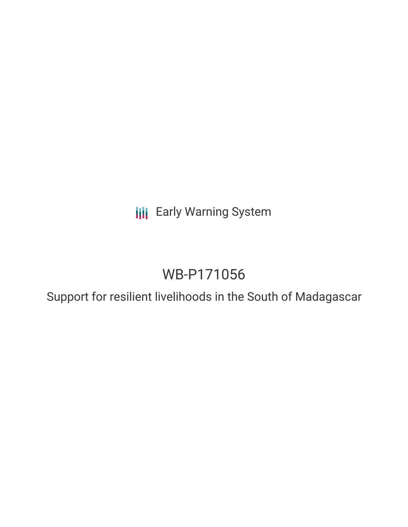**III** Early Warning System

# WB-P171056

Support for resilient livelihoods in the South of Madagascar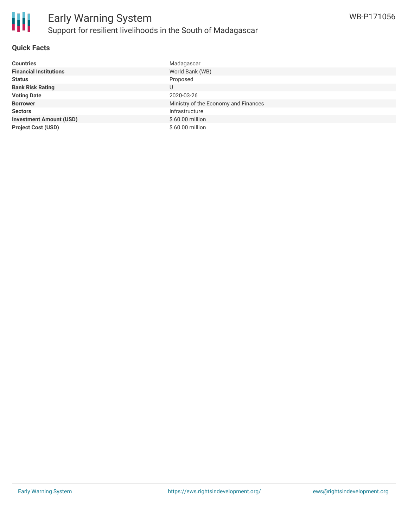

#### **Quick Facts**

Ш

| <b>Countries</b>               | Madagascar                           |
|--------------------------------|--------------------------------------|
| <b>Financial Institutions</b>  | World Bank (WB)                      |
| <b>Status</b>                  | Proposed                             |
| <b>Bank Risk Rating</b>        | U                                    |
| <b>Voting Date</b>             | 2020-03-26                           |
| <b>Borrower</b>                | Ministry of the Economy and Finances |
| <b>Sectors</b>                 | Infrastructure                       |
| <b>Investment Amount (USD)</b> | $$60.00$ million                     |
| <b>Project Cost (USD)</b>      | \$60.00 million                      |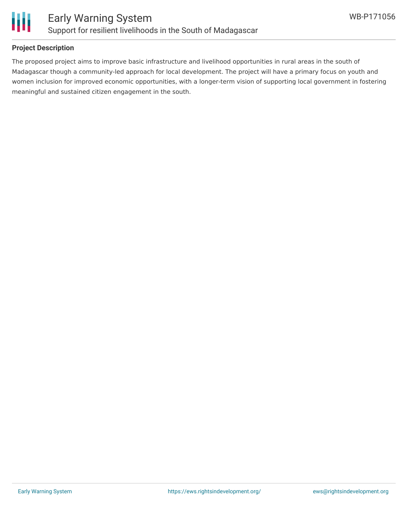

#### **Project Description**

The proposed project aims to improve basic infrastructure and livelihood opportunities in rural areas in the south of Madagascar though a community-led approach for local development. The project will have a primary focus on youth and women inclusion for improved economic opportunities, with a longer-term vision of supporting local government in fostering meaningful and sustained citizen engagement in the south.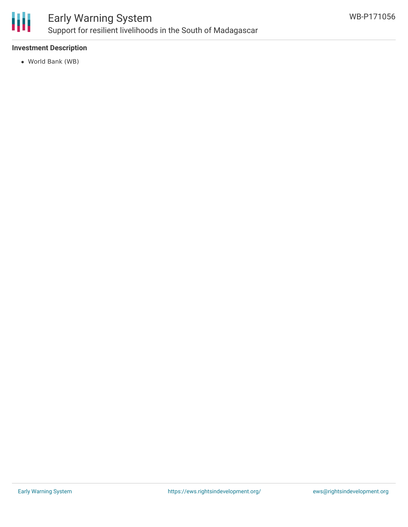

## Early Warning System Support for resilient livelihoods in the South of Madagascar

#### **Investment Description**

World Bank (WB)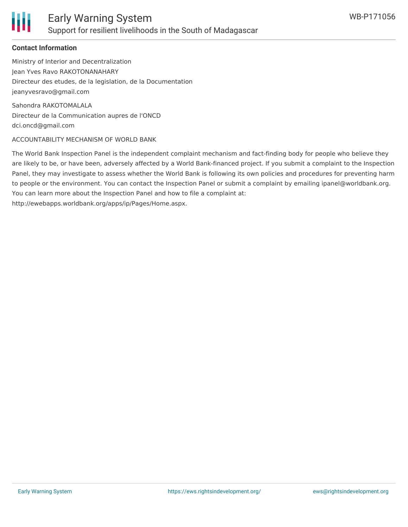

#### **Contact Information**

Ministry of Interior and Decentralization Jean Yves Ravo RAKOTONANAHARY Directeur des etudes, de la legislation, de la Documentation jeanyvesravo@gmail.com

Sahondra RAKOTOMALALA Directeur de la Communication aupres de l'ONCD dci.oncd@gmail.com

#### ACCOUNTABILITY MECHANISM OF WORLD BANK

The World Bank Inspection Panel is the independent complaint mechanism and fact-finding body for people who believe they are likely to be, or have been, adversely affected by a World Bank-financed project. If you submit a complaint to the Inspection Panel, they may investigate to assess whether the World Bank is following its own policies and procedures for preventing harm to people or the environment. You can contact the Inspection Panel or submit a complaint by emailing ipanel@worldbank.org. You can learn more about the Inspection Panel and how to file a complaint at: http://ewebapps.worldbank.org/apps/ip/Pages/Home.aspx.